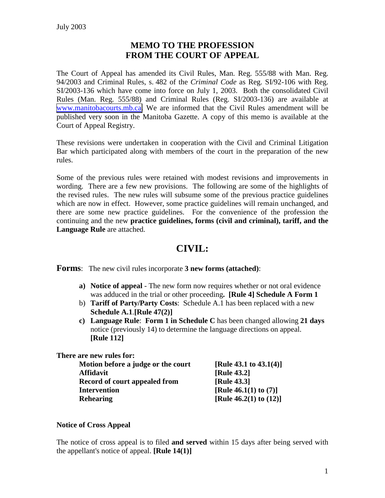# **MEMO TO THE PROFESSION FROM THE COURT OF APPEAL**

The Court of Appeal has amended its Civil Rules, Man. Reg. 555/88 with Man. Reg. 94/2003 and Criminal Rules, s. 482 of the *Criminal Code* as Reg. SI/92-106 with Reg. SI/2003-136 which have come into force on July 1, 2003. Both the consolidated Civil Rules (Man. Reg. 555/88) and Criminal Rules (Reg. SI/2003-136) are available at [www.manitobacourts.mb.ca.](https://www.manitobacourts.mb.ca/) We are informed that the Civil Rules amendment will be published very soon in the Manitoba Gazette. A copy of this memo is available at the Court of Appeal Registry.

These revisions were undertaken in cooperation with the Civil and Criminal Litigation Bar which participated along with members of the court in the preparation of the new rules.

Some of the previous rules were retained with modest revisions and improvements in wording. There are a few new provisions. The following are some of the highlights of the revised rules. The new rules will subsume some of the previous practice guidelines which are now in effect. However, some practice guidelines will remain unchanged, and there are some new practice guidelines. For the convenience of the profession the continuing and the new **practice guidelines, forms (civil and criminal), tariff, and the Language Rule** are attached.

# **CIVIL:**

**Forms**: The new civil rules incorporate **3 new forms (attached)**:

- **a) Notice of appeal** The new form now requires whether or not oral evidence was adduced in the trial or other proceeding**. [Rule 4] Schedule A Form 1**
- b) **Tariff of Party/Party Costs**: Schedule A.1 has been replaced with a new **Schedule A.1**.**[Rule 47(2)]**
- **c) Language Rule**: **Form 1 in Schedule C** has been changed allowing **21 days** notice (previously 14) to determine the language directions on appeal. **[Rule 112]**

**Model 43.1 to 43.1(4)]** 

| There are new rules for:           |
|------------------------------------|
| Motion before a judge or the court |
| <b>Affidavit</b>                   |

|                               | $141440$ $10140$ $10141$  |
|-------------------------------|---------------------------|
| <b>Affidavit</b>              | [Rule 43.2]               |
| Record of court appealed from | <b>[Rule 43.3]</b>        |
| <b>Intervention</b>           | [Rule 46.1(1) to $(7)$ ]  |
| <b>Rehearing</b>              | [Rule 46.2(1) to $(12)$ ] |

## **Notice of Cross Appeal**

The notice of cross appeal is to filed **and served** within 15 days after being served with the appellant's notice of appeal. **[Rule 14(1)]**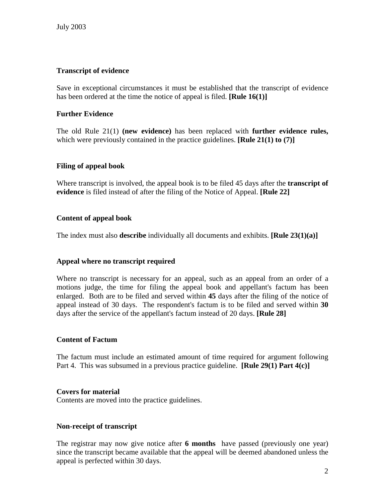## **Transcript of evidence**

Save in exceptional circumstances it must be established that the transcript of evidence has been ordered at the time the notice of appeal is filed. **[Rule 16(1)]**

## **Further Evidence**

The old Rule 21(1) **(new evidence)** has been replaced with **further evidence rules,** which were previously contained in the practice guidelines. **[Rule 21(1) to (7)**]

## **Filing of appeal book**

Where transcript is involved, the appeal book is to be filed 45 days after the **transcript of evidence** is filed instead of after the filing of the Notice of Appeal. **[Rule 22]**

## **Content of appeal book**

The index must also **describe** individually all documents and exhibits. **[Rule 23(1)(a)]**

## **Appeal where no transcript required**

Where no transcript is necessary for an appeal, such as an appeal from an order of a motions judge, the time for filing the appeal book and appellant's factum has been enlarged. Both are to be filed and served within **45** days after the filing of the notice of appeal instead of 30 days. The respondent's factum is to be filed and served within **30** days after the service of the appellant's factum instead of 20 days. **[Rule 28]**

### **Content of Factum**

The factum must include an estimated amount of time required for argument following Part 4. This was subsumed in a previous practice guideline. **[Rule 29(1) Part 4(c)]**

### **Covers for material**

Contents are moved into the practice guidelines.

## **Non-receipt of transcript**

The registrar may now give notice after **6 months** have passed (previously one year) since the transcript became available that the appeal will be deemed abandoned unless the appeal is perfected within 30 days.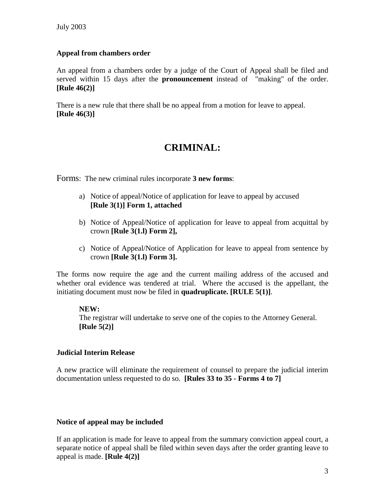### **Appeal from chambers order**

An appeal from a chambers order by a judge of the Court of Appeal shall be filed and served within 15 days after the **pronouncement** instead of "making" of the order. **[Rule 46(2)]**

There is a new rule that there shall be no appeal from a motion for leave to appeal. **[Rule 46(3)]**

# **CRIMINAL:**

Forms: The new criminal rules incorporate **3 new forms**:

- a) Notice of appeal/Notice of application for leave to appeal by accused **[Rule 3(1)] Form 1, attached**
- b) Notice of Appeal/Notice of application for leave to appeal from acquittal by crown **[Rule 3(1.l) Form 2],**
- c) Notice of Appeal/Notice of Application for leave to appeal from sentence by crown **[Rule 3(1.l) Form 3].**

The forms now require the age and the current mailing address of the accused and whether oral evidence was tendered at trial. Where the accused is the appellant, the initiating document must now be filed in **quadruplicate. [RULE 5(1)]**.

### **NEW:**

The registrar will undertake to serve one of the copies to the Attorney General. **[Rule 5(2)]**

## **Judicial Interim Release**

A new practice will eliminate the requirement of counsel to prepare the judicial interim documentation unless requested to do so. **[Rules 33 to 35 - Forms 4 to 7]**

## **Notice of appeal may be included**

If an application is made for leave to appeal from the summary conviction appeal court, a separate notice of appeal shall be filed within seven days after the order granting leave to appeal is made. **[Rule 4(2)]**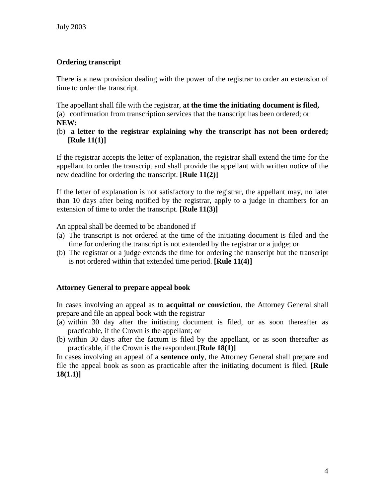# **Ordering transcript**

There is a new provision dealing with the power of the registrar to order an extension of time to order the transcript.

The appellant shall file with the registrar, **at the time the initiating document is filed,** (a) confirmation from transcription services that the transcript has been ordered; or **NEW:**

(b) **a letter to the registrar explaining why the transcript has not been ordered; [Rule 11(1)]**

If the registrar accepts the letter of explanation, the registrar shall extend the time for the appellant to order the transcript and shall provide the appellant with written notice of the new deadline for ordering the transcript. **[Rule 11(2)]**

If the letter of explanation is not satisfactory to the registrar, the appellant may, no later than 10 days after being notified by the registrar, apply to a judge in chambers for an extension of time to order the transcript. **[Rule 11(3)]**

An appeal shall be deemed to be abandoned if

- (a) The transcript is not ordered at the time of the initiating document is filed and the time for ordering the transcript is not extended by the registrar or a judge; or
- (b) The registrar or a judge extends the time for ordering the transcript but the transcript is not ordered within that extended time period. **[Rule 11(4)]**

# **Attorney General to prepare appeal book**

In cases involving an appeal as to **acquittal or conviction**, the Attorney General shall prepare and file an appeal book with the registrar

- (a) within 30 day after the initiating document is filed, or as soon thereafter as practicable, if the Crown is the appellant; or
- (b) within 30 days after the factum is filed by the appellant, or as soon thereafter as practicable, if the Crown is the respondent.**[Rule 18(1)]**

In cases involving an appeal of a **sentence only**, the Attorney General shall prepare and file the appeal book as soon as practicable after the initiating document is filed. **[Rule 18(1.1)]**